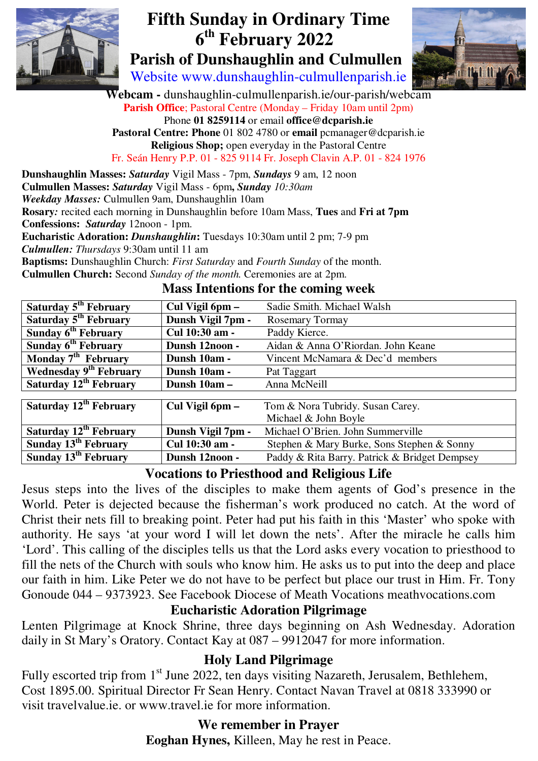

# **Fifth Sunday in Ordinary Time th February 2022**

 **Parish of Dunshaughlin and Culmullen**  Website www.dunshaughlin-culmullenparish.ie



**Webcam -** dunshaughlin-culmullenparish.ie/our-parish/webcam **Parish Office**; Pastoral Centre (Monday – Friday 10am until 2pm) Phone **01 8259114** or email **office@dcparish.ie Pastoral Centre: Phone** 01 802 4780 or **email** pcmanager@dcparish.ie **Religious Shop;** open everyday in the Pastoral Centre Fr. Seán Henry P.P. 01 - 825 9114 Fr. Joseph Clavin A.P. 01 - 824 1976

**Dunshaughlin Masses:** *Saturday* Vigil Mass - 7pm, *Sundays* 9 am, 12 noon **Culmullen Masses:** *Saturday* Vigil Mass - 6pm**,** *Sunday 10:30am Weekday Masses:* Culmullen 9am, Dunshaughlin 10am **Rosary***:* recited each morning in Dunshaughlin before 10am Mass, **Tues** and **Fri at 7pm Confessions:** *Saturday* 12noon - 1pm. **Eucharistic Adoration:** *Dunshaughlin***:** Tuesdays 10:30am until 2 pm; 7-9 pm *Culmullen: Thursdays* 9:30am until 11 am **Baptisms:** Dunshaughlin Church: *First Saturday* and *Fourth Sunday* of the month. **Culmullen Church:** Second *Sunday of the month.* Ceremonies are at 2pm.

#### **Mass Intentions for the coming week**

| Saturday 5 <sup>th</sup> February  | Cul Vigil 6pm –   | Sadie Smith. Michael Walsh                    |
|------------------------------------|-------------------|-----------------------------------------------|
| Saturday 5 <sup>th</sup> February  | Dunsh Vigil 7pm - | <b>Rosemary Tormay</b>                        |
| Sunday 6 <sup>th</sup> February    | Cul 10:30 am -    | Paddy Kierce.                                 |
| Sunday 6 <sup>th</sup> February    | Dunsh 12noon -    | Aidan & Anna O'Riordan. John Keane            |
| Monday 7 <sup>th</sup> February    | Dunsh 10am -      | Vincent McNamara & Dec'd members              |
| <b>Wednesday 9th February</b>      | Dunsh 10am -      | Pat Taggart                                   |
| Saturday 12 <sup>th</sup> February | Dunsh 10am -      | Anna McNeill                                  |
|                                    |                   |                                               |
| Saturday 12 <sup>th</sup> February | Cul Vigil 6pm –   | Tom & Nora Tubridy. Susan Carey.              |
|                                    |                   | Michael & John Boyle                          |
| Saturday 12 <sup>th</sup> February | Dunsh Vigil 7pm - | Michael O'Brien. John Summerville             |
| Sunday 13 <sup>th</sup> February   | Cul 10:30 am -    | Stephen & Mary Burke, Sons Stephen & Sonny    |
| Sunday 13 <sup>th</sup> February   | Dunsh 12noon -    | Paddy & Rita Barry. Patrick & Bridget Dempsey |

#### **Vocations to Priesthood and Religious Life**

Jesus steps into the lives of the disciples to make them agents of God's presence in the World. Peter is dejected because the fisherman's work produced no catch. At the word of Christ their nets fill to breaking point. Peter had put his faith in this 'Master' who spoke with authority. He says 'at your word I will let down the nets'. After the miracle he calls him 'Lord'. This calling of the disciples tells us that the Lord asks every vocation to priesthood to fill the nets of the Church with souls who know him. He asks us to put into the deep and place our faith in him. Like Peter we do not have to be perfect but place our trust in Him. Fr. Tony Gonoude 044 – 9373923. See Facebook Diocese of Meath Vocations meathvocations.com

## **Eucharistic Adoration Pilgrimage**

Lenten Pilgrimage at Knock Shrine, three days beginning on Ash Wednesday. Adoration daily in St Mary's Oratory. Contact Kay at 087 – 9912047 for more information.

#### **Holy Land Pilgrimage**

Fully escorted trip from 1<sup>st</sup> June 2022, ten days visiting Nazareth, Jerusalem, Bethlehem, Cost 1895.00. Spiritual Director Fr Sean Henry. Contact Navan Travel at 0818 333990 or visit travelvalue.ie. or www.travel.ie for more information.

## **We remember in Prayer**

**Eoghan Hynes,** Killeen, May he rest in Peace.